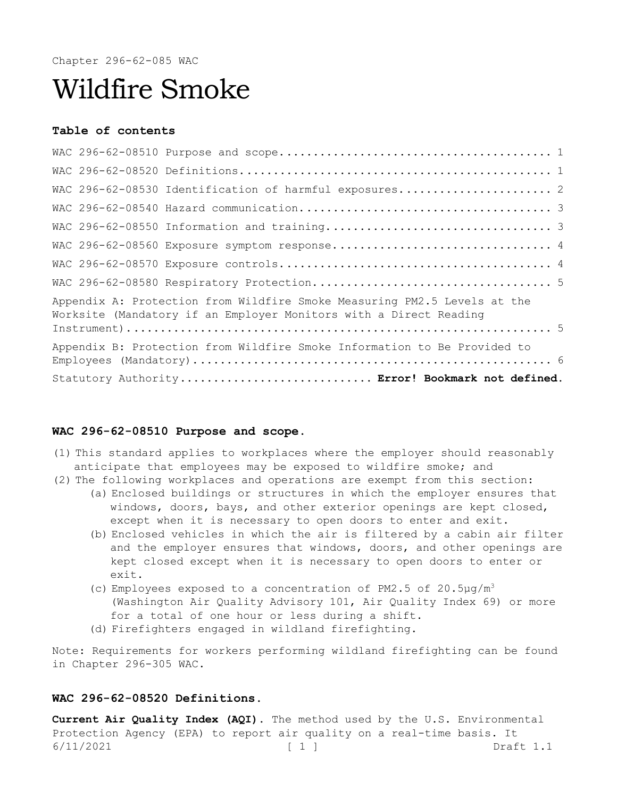Chapter 296-62-085 WAC

# Wildfire Smoke

#### **Table of contents**

| WAC 296-62-08530 Identification of harmful exposures 2                                                                                        |  |
|-----------------------------------------------------------------------------------------------------------------------------------------------|--|
|                                                                                                                                               |  |
|                                                                                                                                               |  |
| WAC 296-62-08560 Exposure symptom response 4                                                                                                  |  |
|                                                                                                                                               |  |
|                                                                                                                                               |  |
| Appendix A: Protection from Wildfire Smoke Measuring PM2.5 Levels at the<br>Worksite (Mandatory if an Employer Monitors with a Direct Reading |  |
| Appendix B: Protection from Wildfire Smoke Information to Be Provided to                                                                      |  |
|                                                                                                                                               |  |
| Statutory Authority Error! Bookmark not defined.                                                                                              |  |

#### <span id="page-0-0"></span>**WAC 296-62-08510 Purpose and scope.**

- (1) This standard applies to workplaces where the employer should reasonably anticipate that employees may be exposed to wildfire smoke; and
- (2) The following workplaces and operations are exempt from this section: (a) Enclosed buildings or structures in which the employer ensures that windows, doors, bays, and other exterior openings are kept closed,
	- except when it is necessary to open doors to enter and exit. (b) Enclosed vehicles in which the air is filtered by a cabin air filter and the employer ensures that windows, doors, and other openings are kept closed except when it is necessary to open doors to enter or exit.
	- (c) Employees exposed to a concentration of PM2.5 of  $20.5\mu q/m^3$ (Washington Air Quality Advisory 101, Air Quality Index 69) or more for a total of one hour or less during a shift.
	- (d) Firefighters engaged in wildland firefighting.

Note: Requirements for workers performing wildland firefighting can be found in Chapter 296-305 WAC.

# <span id="page-0-1"></span>**WAC 296-62-08520 Definitions.**

6/11/2021 [ 1 ] Draft 1.1 **Current Air Quality Index (AQI).** The method used by the U.S. Environmental Protection Agency (EPA) to report air quality on a real-time basis. It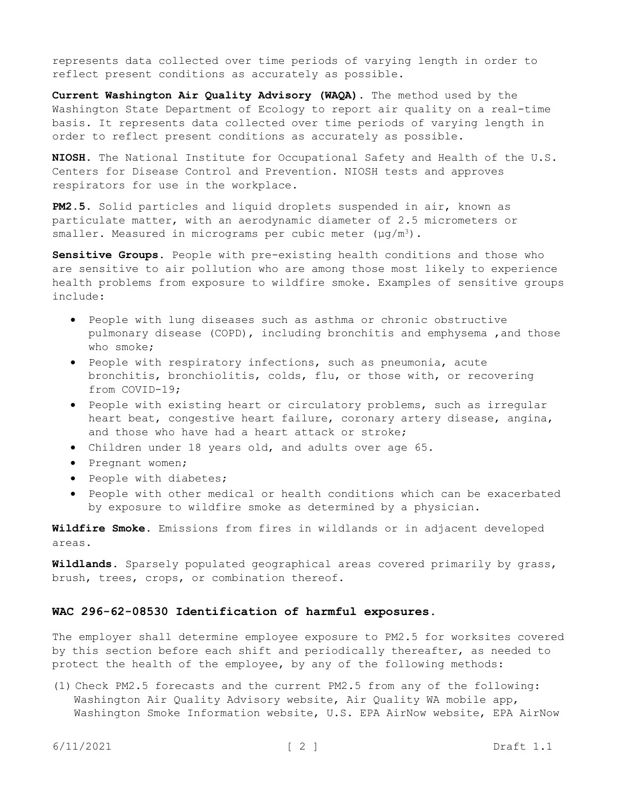represents data collected over time periods of varying length in order to reflect present conditions as accurately as possible.

**Current Washington Air Quality Advisory (WAQA).** The method used by the Washington State Department of Ecology to report air quality on a real-time basis. It represents data collected over time periods of varying length in order to reflect present conditions as accurately as possible.

**NIOSH.** The National Institute for Occupational Safety and Health of the U.S. Centers for Disease Control and Prevention. NIOSH tests and approves respirators for use in the workplace.

**PM2.5.** Solid particles and liquid droplets suspended in air, known as particulate matter, with an aerodynamic diameter of 2.5 micrometers or smaller. Measured in micrograms per cubic meter  $(\mu q/m^3)$ .

**Sensitive Groups.** People with pre-existing health conditions and those who are sensitive to air pollution who are among those most likely to experience health problems from exposure to wildfire smoke. Examples of sensitive groups include:

- People with lung diseases such as asthma or chronic obstructive pulmonary disease (COPD), including bronchitis and emphysema ,and those who smoke;
- People with respiratory infections, such as pneumonia, acute bronchitis, bronchiolitis, colds, flu, or those with, or recovering from COVID-19;
- People with existing heart or circulatory problems, such as irregular heart beat, congestive heart failure, coronary artery disease, angina, and those who have had a heart attack or stroke;
- Children under 18 years old, and adults over age 65.
- Pregnant women;
- People with diabetes;
- People with other medical or health conditions which can be exacerbated by exposure to wildfire smoke as determined by a physician.

**Wildfire Smoke.** Emissions from fires in wildlands or in adjacent developed areas.

**Wildlands.** Sparsely populated geographical areas covered primarily by grass, brush, trees, crops, or combination thereof.

#### <span id="page-1-0"></span>**WAC 296-62-08530 Identification of harmful exposures.**

The employer shall determine employee exposure to PM2.5 for worksites covered by this section before each shift and periodically thereafter, as needed to protect the health of the employee, by any of the following methods:

(1) Check PM2.5 forecasts and the current PM2.5 from any of the following: Washington Air Quality Advisory website, Air Quality WA mobile app, Washington Smoke Information website, U.S. EPA AirNow website, EPA AirNow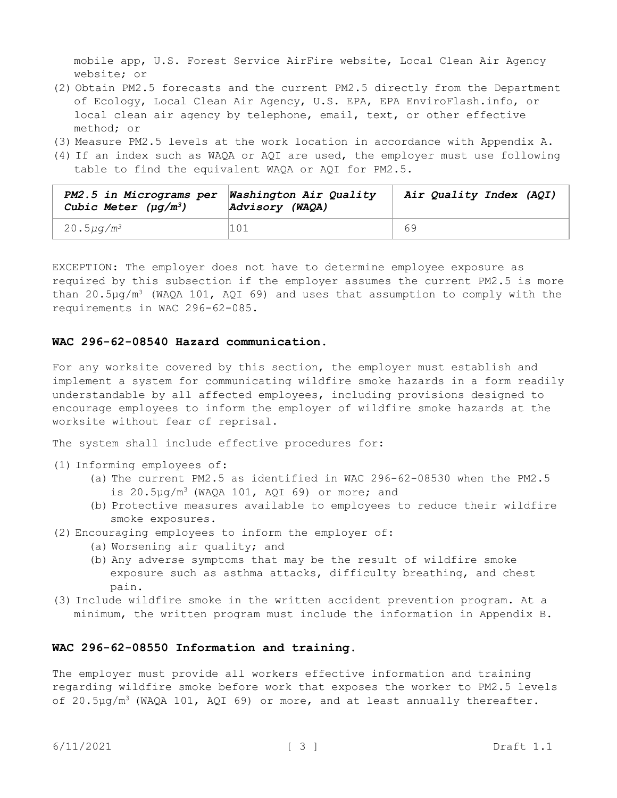mobile app, U.S. Forest Service AirFire website, Local Clean Air Agency website; or

- (2) Obtain PM2.5 forecasts and the current PM2.5 directly from the Department of Ecology, Local Clean Air Agency, U.S. EPA, EPA EnviroFlash.info, or local clean air agency by telephone, email, text, or other effective method; or
- (3) Measure PM2.5 levels at the work location in accordance with Appendix A.
- (4) If an index such as WAQA or AQI are used, the employer must use following table to find the equivalent WAQA or AQI for PM2.5.

| PM2.5 in Micrograms per<br>Cubic Meter $(\mu q/m^3)$ | <b>Washington Air Quality</b><br>Advisory (WAQA) | Air Quality Index (AQI) |
|------------------------------------------------------|--------------------------------------------------|-------------------------|
| 20.5µg/m <sup>3</sup>                                | 101                                              | 69                      |

EXCEPTION: The employer does not have to determine employee exposure as required by this subsection if the employer assumes the current PM2.5 is more than 20.5 $\mu$ g/m<sup>3</sup> (WAQA 101, AQI 69) and uses that assumption to comply with the requirements in WAC 296-62-085.

#### <span id="page-2-0"></span>**WAC 296-62-08540 Hazard communication.**

For any worksite covered by this section, the employer must establish and implement a system for communicating wildfire smoke hazards in a form readily understandable by all affected employees, including provisions designed to encourage employees to inform the employer of wildfire smoke hazards at the worksite without fear of reprisal.

The system shall include effective procedures for:

- (1) Informing employees of:
	- (a) The current PM2.5 as identified in WAC 296-62-08530 when the PM2.5 is  $20.5\mu q/m^3$  (WAQA 101, AQI 69) or more; and
	- (b) Protective measures available to employees to reduce their wildfire smoke exposures.
- (2) Encouraging employees to inform the employer of:
	- (a) Worsening air quality; and
	- (b) Any adverse symptoms that may be the result of wildfire smoke exposure such as asthma attacks, difficulty breathing, and chest pain.
- (3) Include wildfire smoke in the written accident prevention program. At a minimum, the written program must include the information in Appendix B.

## <span id="page-2-1"></span>**WAC 296-62-08550 Information and training.**

The employer must provide all workers effective information and training regarding wildfire smoke before work that exposes the worker to PM2.5 levels of  $20.5\mu q/m^3$  (WAQA 101, AQI 69) or more, and at least annually thereafter.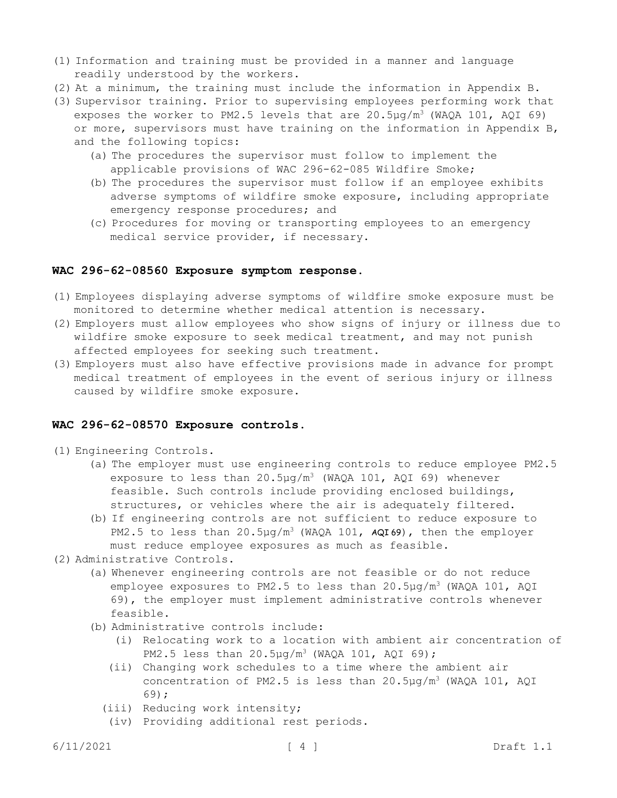- (1) Information and training must be provided in a manner and language readily understood by the workers.
- (2) At a minimum, the training must include the information in Appendix B.
- (3) Supervisor training. Prior to supervising employees performing work that exposes the worker to PM2.5 levels that are  $20.5\mu q/m^3$  (WAQA 101, AQI 69) or more, supervisors must have training on the information in Appendix B, and the following topics:
	- (a) The procedures the supervisor must follow to implement the applicable provisions of WAC 296-62-085 Wildfire Smoke;
	- (b) The procedures the supervisor must follow if an employee exhibits adverse symptoms of wildfire smoke exposure, including appropriate emergency response procedures; and
	- (c) Procedures for moving or transporting employees to an emergency medical service provider, if necessary.

#### <span id="page-3-0"></span>**WAC 296-62-08560 Exposure symptom response.**

- (1) Employees displaying adverse symptoms of wildfire smoke exposure must be monitored to determine whether medical attention is necessary.
- (2) Employers must allow employees who show signs of injury or illness due to wildfire smoke exposure to seek medical treatment, and may not punish affected employees for seeking such treatment.
- (3) Employers must also have effective provisions made in advance for prompt medical treatment of employees in the event of serious injury or illness caused by wildfire smoke exposure.

#### <span id="page-3-1"></span>**WAC 296-62-08570 Exposure controls.**

- (1) Engineering Controls.
	- (a) The employer must use engineering controls to reduce employee PM2.5 exposure to less than  $20.5\mu q/m^3$  (WAQA 101, AQI 69) whenever feasible. Such controls include providing enclosed buildings, structures, or vehicles where the air is adequately filtered.
	- (b) If engineering controls are not sufficient to reduce exposure to PM2.5 to less than 20.5µg/m<sup>3</sup> (WAQA 101, AQI69), then the employer must reduce employee exposures as much as feasible.
- (2) Administrative Controls.
	- (a) Whenever engineering controls are not feasible or do not reduce employee exposures to PM2.5 to less than  $20.5\mu q/m^3$  (WAQA 101, AQI 69), the employer must implement administrative controls whenever feasible.
	- (b) Administrative controls include:
		- (i) Relocating work to a location with ambient air concentration of PM2.5 less than 20.5µg/m<sup>3</sup> (WAQA 101, AQI 69);
		- (ii) Changing work schedules to a time where the ambient air concentration of PM2.5 is less than 20.5µg/m<sup>3</sup> (WAQA 101, AQI 69);
		- (iii) Reducing work intensity;
		- (iv) Providing additional rest periods.

6/11/2021 [ 4 ] Draft 1.1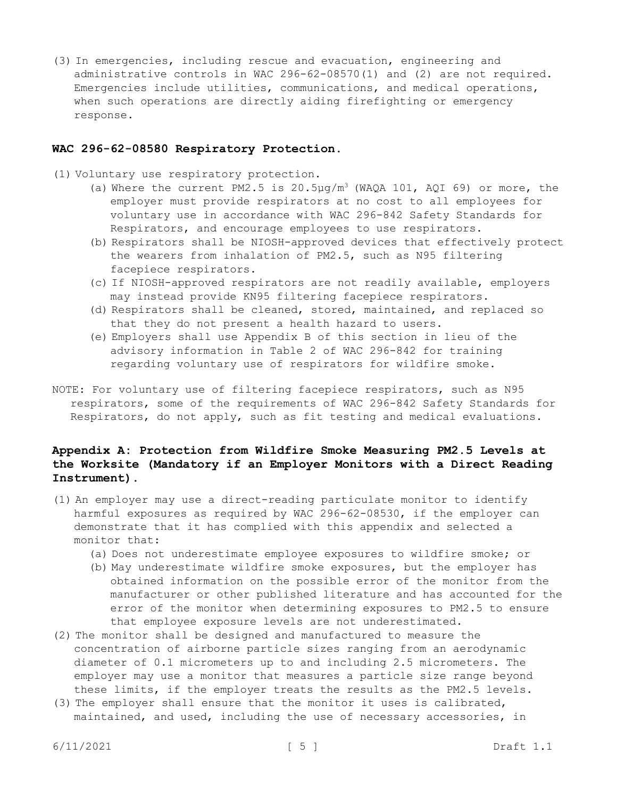(3) In emergencies, including rescue and evacuation, engineering and administrative controls in WAC 296-62-08570(1) and (2) are not required. Emergencies include utilities, communications, and medical operations, when such operations are directly aiding firefighting or emergency response.

#### <span id="page-4-0"></span>**WAC 296-62-08580 Respiratory Protection.**

- (1) Voluntary use respiratory protection.
	- (a) Where the current PM2.5 is  $20.5\mu g/m^3$  (WAQA 101, AQI 69) or more, the employer must provide respirators at no cost to all employees for voluntary use in accordance with WAC 296-842 Safety Standards for Respirators, and encourage employees to use respirators.
	- (b) Respirators shall be NIOSH-approved devices that effectively protect the wearers from inhalation of PM2.5, such as N95 filtering facepiece respirators.
	- (c) If NIOSH-approved respirators are not readily available, employers may instead provide KN95 filtering facepiece respirators.
	- (d) Respirators shall be cleaned, stored, maintained, and replaced so that they do not present a health hazard to users.
	- (e) Employers shall use Appendix B of this section in lieu of the advisory information in Table 2 of WAC 296-842 for training regarding voluntary use of respirators for wildfire smoke.
- NOTE: For voluntary use of filtering facepiece respirators, such as N95 respirators, some of the requirements of WAC 296-842 Safety Standards for Respirators, do not apply, such as fit testing and medical evaluations.

# <span id="page-4-1"></span>**Appendix A: Protection from Wildfire Smoke Measuring PM2.5 Levels at the Worksite (Mandatory if an Employer Monitors with a Direct Reading Instrument).**

- (1) An employer may use a direct-reading particulate monitor to identify harmful exposures as required by WAC 296-62-08530, if the employer can demonstrate that it has complied with this appendix and selected a monitor that:
	- (a) Does not underestimate employee exposures to wildfire smoke; or
	- (b) May underestimate wildfire smoke exposures, but the employer has obtained information on the possible error of the monitor from the manufacturer or other published literature and has accounted for the error of the monitor when determining exposures to PM2.5 to ensure that employee exposure levels are not underestimated.
- (2) The monitor shall be designed and manufactured to measure the concentration of airborne particle sizes ranging from an aerodynamic diameter of 0.1 micrometers up to and including 2.5 micrometers. The employer may use a monitor that measures a particle size range beyond these limits, if the employer treats the results as the PM2.5 levels.
- (3) The employer shall ensure that the monitor it uses is calibrated, maintained, and used, including the use of necessary accessories, in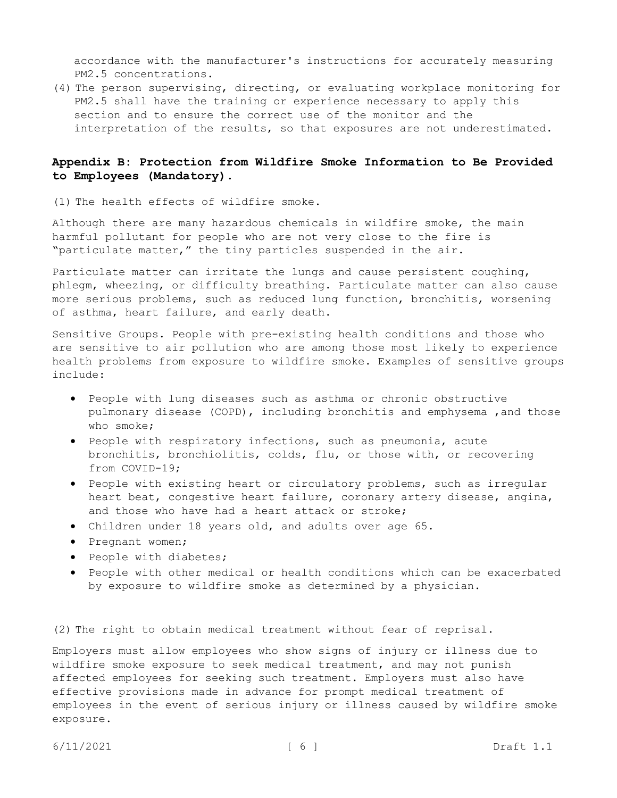accordance with the manufacturer's instructions for accurately measuring PM2.5 concentrations.

(4) The person supervising, directing, or evaluating workplace monitoring for PM2.5 shall have the training or experience necessary to apply this section and to ensure the correct use of the monitor and the interpretation of the results, so that exposures are not underestimated.

# <span id="page-5-0"></span>**Appendix B: Protection from Wildfire Smoke Information to Be Provided to Employees (Mandatory).**

(1) The health effects of wildfire smoke.

Although there are many hazardous chemicals in wildfire smoke, the main harmful pollutant for people who are not very close to the fire is "particulate matter," the tiny particles suspended in the air.

Particulate matter can irritate the lungs and cause persistent coughing, phlegm, wheezing, or difficulty breathing. Particulate matter can also cause more serious problems, such as reduced lung function, bronchitis, worsening of asthma, heart failure, and early death.

Sensitive Groups. People with pre-existing health conditions and those who are sensitive to air pollution who are among those most likely to experience health problems from exposure to wildfire smoke. Examples of sensitive groups include:

- People with lung diseases such as asthma or chronic obstructive pulmonary disease (COPD), including bronchitis and emphysema ,and those who smoke;
- People with respiratory infections, such as pneumonia, acute bronchitis, bronchiolitis, colds, flu, or those with, or recovering from COVID-19;
- People with existing heart or circulatory problems, such as irregular heart beat, congestive heart failure, coronary artery disease, angina, and those who have had a heart attack or stroke;
- Children under 18 years old, and adults over age 65.
- Pregnant women;
- People with diabetes;
- People with other medical or health conditions which can be exacerbated by exposure to wildfire smoke as determined by a physician.

(2) The right to obtain medical treatment without fear of reprisal.

Employers must allow employees who show signs of injury or illness due to wildfire smoke exposure to seek medical treatment, and may not punish affected employees for seeking such treatment. Employers must also have effective provisions made in advance for prompt medical treatment of employees in the event of serious injury or illness caused by wildfire smoke exposure.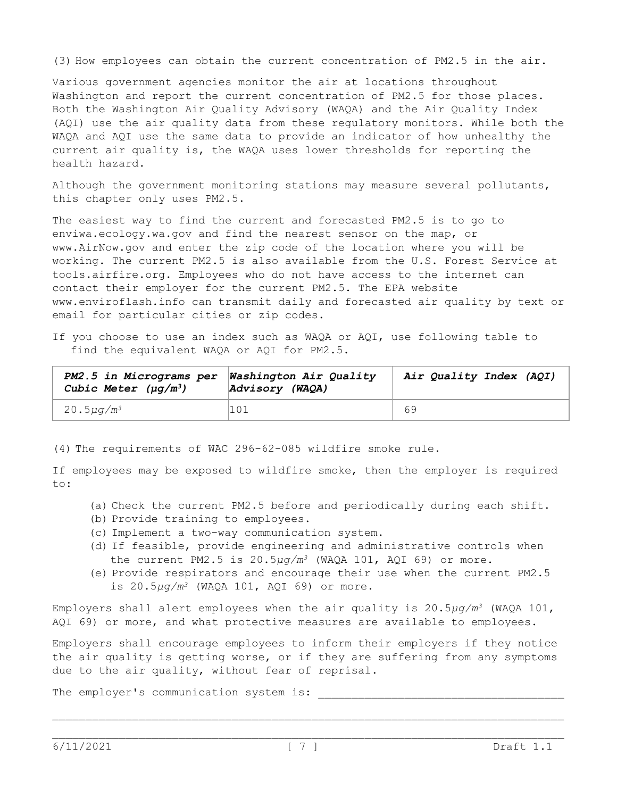(3) How employees can obtain the current concentration of PM2.5 in the air.

Various government agencies monitor the air at locations throughout Washington and report the current concentration of PM2.5 for those places. Both the Washington Air Quality Advisory (WAQA) and the Air Quality Index (AQI) use the air quality data from these regulatory monitors. While both the WAQA and AQI use the same data to provide an indicator of how unhealthy the current air quality is, the WAQA uses lower thresholds for reporting the health hazard.

Although the government monitoring stations may measure several pollutants, this chapter only uses PM2.5.

The easiest way to find the current and forecasted PM2.5 is to go to enviwa.ecology.wa.gov and find the nearest sensor on the map, or www.AirNow.gov and enter the zip code of the location where you will be working. The current PM2.5 is also available from the U.S. Forest Service at tools.airfire.org. Employees who do not have access to the internet can contact their employer for the current PM2.5. The EPA website www.enviroflash.info can transmit daily and forecasted air quality by text or email for particular cities or zip codes.

If you choose to use an index such as WAQA or AQI, use following table to find the equivalent WAQA or AQI for PM2.5.

| PM2.5 in Micrograms per Washington Air Quality<br>Cubic Meter $(\mu q/m^3)$ | Advisory (WAQA) | Air Quality Index (AQI) |
|-----------------------------------------------------------------------------|-----------------|-------------------------|
| 20.5 $\mu$ g/m <sup>3</sup>                                                 | 101             | 69                      |

(4) The requirements of WAC 296-62-085 wildfire smoke rule.

If employees may be exposed to wildfire smoke, then the employer is required to:

- (a) Check the current PM2.5 before and periodically during each shift.
- (b) Provide training to employees.
- (c) Implement a two-way communication system.
- (d) If feasible, provide engineering and administrative controls when the current PM2.5 is 20.5*μg/m<sup>3</sup>* (WAQA 101, AQI 69) or more.
- (e) Provide respirators and encourage their use when the current PM2.5 is 20.5*μg/m<sup>3</sup>* (WAQA 101, AQI 69) or more.

Employers shall alert employees when the air quality is 20.5*μg/m<sup>3</sup>* (WAQA 101, AQI 69) or more, and what protective measures are available to employees.

Employers shall encourage employees to inform their employers if they notice the air quality is getting worse, or if they are suffering from any symptoms due to the air quality, without fear of reprisal.

The employer's communication system is: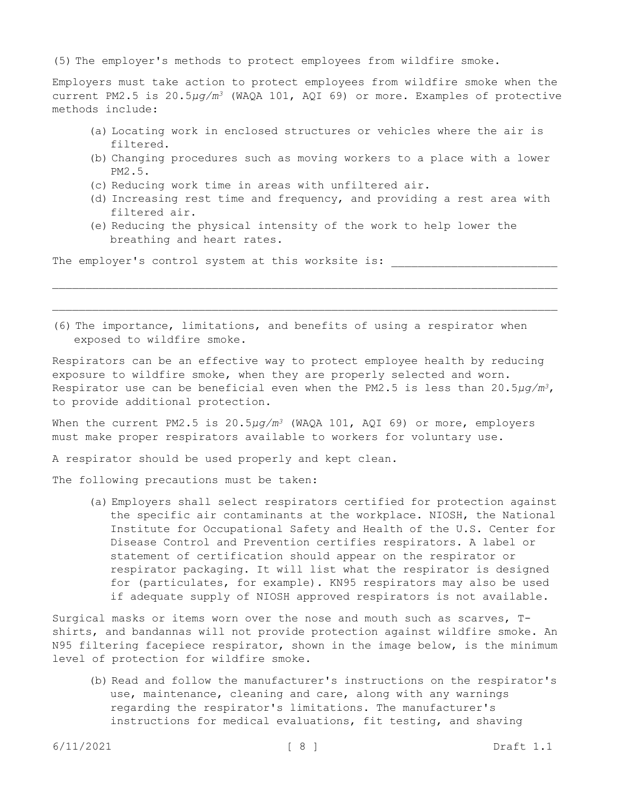(5) The employer's methods to protect employees from wildfire smoke.

Employers must take action to protect employees from wildfire smoke when the current PM2.5 is 20.5*μg/m<sup>3</sup>* (WAQA 101, AQI 69) or more. Examples of protective methods include:

- (a) Locating work in enclosed structures or vehicles where the air is filtered.
- (b) Changing procedures such as moving workers to a place with a lower PM2.5.
- (c) Reducing work time in areas with unfiltered air.
- (d) Increasing rest time and frequency, and providing a rest area with filtered air.
- (e) Reducing the physical intensity of the work to help lower the breathing and heart rates.

The employer's control system at this worksite is:

(6) The importance, limitations, and benefits of using a respirator when exposed to wildfire smoke.

Respirators can be an effective way to protect employee health by reducing exposure to wildfire smoke, when they are properly selected and worn. Respirator use can be beneficial even when the PM2.5 is less than 20.5*μg/m3*, to provide additional protection.

When the current PM2.5 is 20.5 $\mu$ g/m<sup>3</sup> (WAQA 101, AQI 69) or more, employers must make proper respirators available to workers for voluntary use.

A respirator should be used properly and kept clean.

The following precautions must be taken:

(a) Employers shall select respirators certified for protection against the specific air contaminants at the workplace. NIOSH, the National Institute for Occupational Safety and Health of the U.S. Center for Disease Control and Prevention certifies respirators. A label or statement of certification should appear on the respirator or respirator packaging. It will list what the respirator is designed for (particulates, for example). KN95 respirators may also be used if adequate supply of NIOSH approved respirators is not available.

Surgical masks or items worn over the nose and mouth such as scarves, Tshirts, and bandannas will not provide protection against wildfire smoke. An N95 filtering facepiece respirator, shown in the image below, is the minimum level of protection for wildfire smoke.

(b) Read and follow the manufacturer's instructions on the respirator's use, maintenance, cleaning and care, along with any warnings regarding the respirator's limitations. The manufacturer's instructions for medical evaluations, fit testing, and shaving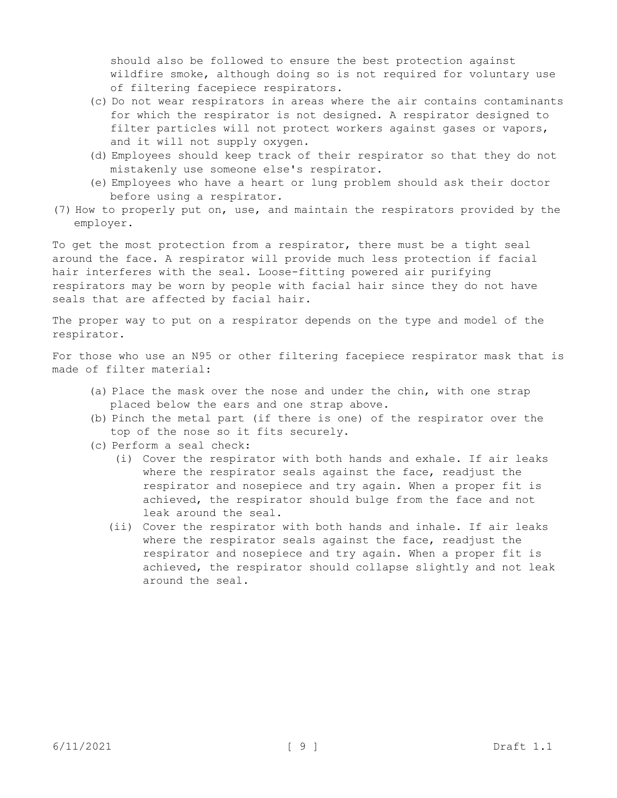should also be followed to ensure the best protection against wildfire smoke, although doing so is not required for voluntary use of filtering facepiece respirators.

- (c) Do not wear respirators in areas where the air contains contaminants for which the respirator is not designed. A respirator designed to filter particles will not protect workers against gases or vapors, and it will not supply oxygen.
- (d) Employees should keep track of their respirator so that they do not mistakenly use someone else's respirator.
- (e) Employees who have a heart or lung problem should ask their doctor before using a respirator.
- (7) How to properly put on, use, and maintain the respirators provided by the employer.

To get the most protection from a respirator, there must be a tight seal around the face. A respirator will provide much less protection if facial hair interferes with the seal. Loose-fitting powered air purifying respirators may be worn by people with facial hair since they do not have seals that are affected by facial hair.

The proper way to put on a respirator depends on the type and model of the respirator.

For those who use an N95 or other filtering facepiece respirator mask that is made of filter material:

- (a) Place the mask over the nose and under the chin, with one strap placed below the ears and one strap above.
- (b) Pinch the metal part (if there is one) of the respirator over the top of the nose so it fits securely.
- (c) Perform a seal check:
	- (i) Cover the respirator with both hands and exhale. If air leaks where the respirator seals against the face, readjust the respirator and nosepiece and try again. When a proper fit is achieved, the respirator should bulge from the face and not leak around the seal.
	- (ii) Cover the respirator with both hands and inhale. If air leaks where the respirator seals against the face, readjust the respirator and nosepiece and try again. When a proper fit is achieved, the respirator should collapse slightly and not leak around the seal.